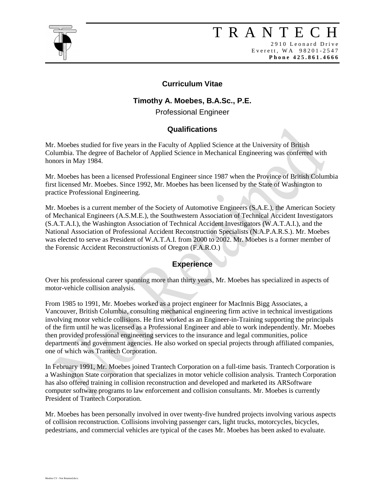

# T R A N T E C H

2910 Leonard Drive E v e r e t t, W A 9 8 2 0 1 - 2 5 4 7 **P h o n e 4 2 5 . 8 6 1 . 4 6 6 6**

### **Curriculum Vitae**

## **Timothy A. Moebes, B.A.Sc., P.E.**

Professional Engineer

### **Qualifications**

Mr. Moebes studied for five years in the Faculty of Applied Science at the University of British Columbia. The degree of Bachelor of Applied Science in Mechanical Engineering was conferred with honors in May 1984.

Mr. Moebes has been a licensed Professional Engineer since 1987 when the Province of British Columbia first licensed Mr. Moebes. Since 1992, Mr. Moebes has been licensed by the State of Washington to practice Professional Engineering.

Mr. Moebes is a current member of the Society of Automotive Engineers (S.A.E.), the American Society of Mechanical Engineers (A.S.M.E.), the Southwestern Association of Technical Accident Investigators (S.A.T.A.I.), the Washington Association of Technical Accident Investigators (W.A.T.A.I.), and the National Association of Professional Accident Reconstruction Specialists (N.A.P.A.R.S.). Mr. Moebes was elected to serve as President of W.A.T.A.I. from 2000 to 2002. Mr. Moebes is a former member of the Forensic Accident Reconstructionists of Oregon (F.A.R.O.)

## **Experience**

Over his professional career spanning more than thirty years, Mr. Moebes has specialized in aspects of motor-vehicle collision analysis.

From 1985 to 1991, Mr. Moebes worked as a project engineer for MacInnis Bigg Associates, a Vancouver, British Columbia, consulting mechanical engineering firm active in technical investigations involving motor vehicle collisions. He first worked as an Engineer-in-Training supporting the principals of the firm until he was licensed as a Professional Engineer and able to work independently. Mr. Moebes then provided professional engineering services to the insurance and legal communities, police departments and government agencies. He also worked on special projects through affiliated companies, one of which was Trantech Corporation.

In February 1991, Mr. Moebes joined Trantech Corporation on a full-time basis. Trantech Corporation is a Washington State corporation that specializes in motor vehicle collision analysis. Trantech Corporation has also offered training in collision reconstruction and developed and marketed its ARSoftware computer software programs to law enforcement and collision consultants. Mr. Moebes is currently President of Trantech Corporation.

Mr. Moebes has been personally involved in over twenty-five hundred projects involving various aspects of collision reconstruction. Collisions involving passenger cars, light trucks, motorcycles, bicycles, pedestrians, and commercial vehicles are typical of the cases Mr. Moebes has been asked to evaluate.